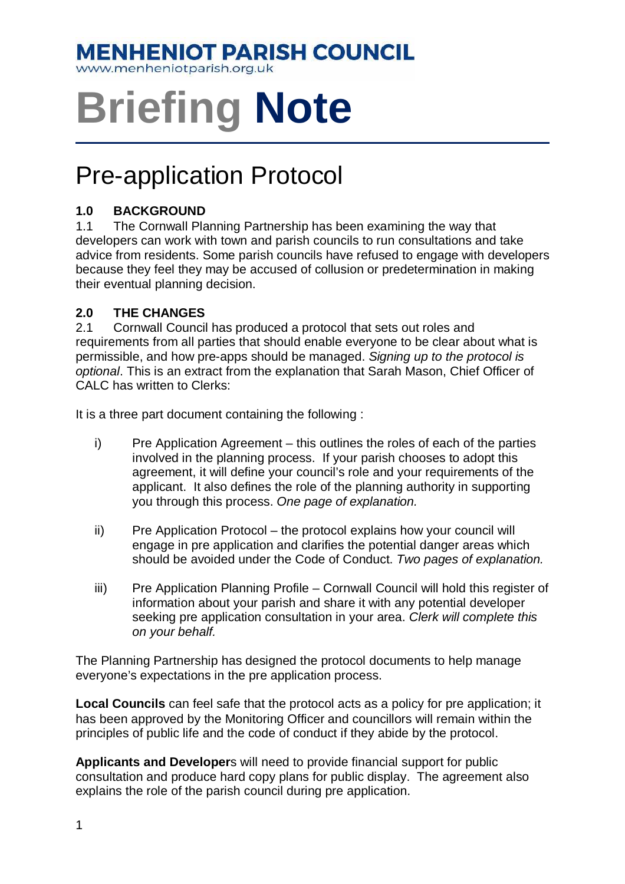# **MENHENIOT PARISH COUNCIL**

www.menheniotparish.org.uk

# **Briefing Note**

# Pre-application Protocol

## **1.0 BACKGROUND**

1.1 The Cornwall Planning Partnership has been examining the way that developers can work with town and parish councils to run consultations and take advice from residents. Some parish councils have refused to engage with developers because they feel they may be accused of collusion or predetermination in making their eventual planning decision.

## **2.0 THE CHANGES**

2.1 Cornwall Council has produced a protocol that sets out roles and requirements from all parties that should enable everyone to be clear about what is permissible, and how pre-apps should be managed. Signing up to the protocol is optional. This is an extract from the explanation that Sarah Mason, Chief Officer of CALC has written to Clerks:

It is a three part document containing the following :

- i) Pre Application Agreement this outlines the roles of each of the parties involved in the planning process. If your parish chooses to adopt this agreement, it will define your council's role and your requirements of the applicant. It also defines the role of the planning authority in supporting you through this process. One page of explanation.
- ii) Pre Application Protocol the protocol explains how your council will engage in pre application and clarifies the potential danger areas which should be avoided under the Code of Conduct. Two pages of explanation.
- iii) Pre Application Planning Profile Cornwall Council will hold this register of information about your parish and share it with any potential developer seeking pre application consultation in your area. Clerk will complete this on your behalf.

The Planning Partnership has designed the protocol documents to help manage everyone's expectations in the pre application process.

**Local Councils** can feel safe that the protocol acts as a policy for pre application; it has been approved by the Monitoring Officer and councillors will remain within the principles of public life and the code of conduct if they abide by the protocol.

**Applicants and Developer**s will need to provide financial support for public consultation and produce hard copy plans for public display. The agreement also explains the role of the parish council during pre application.